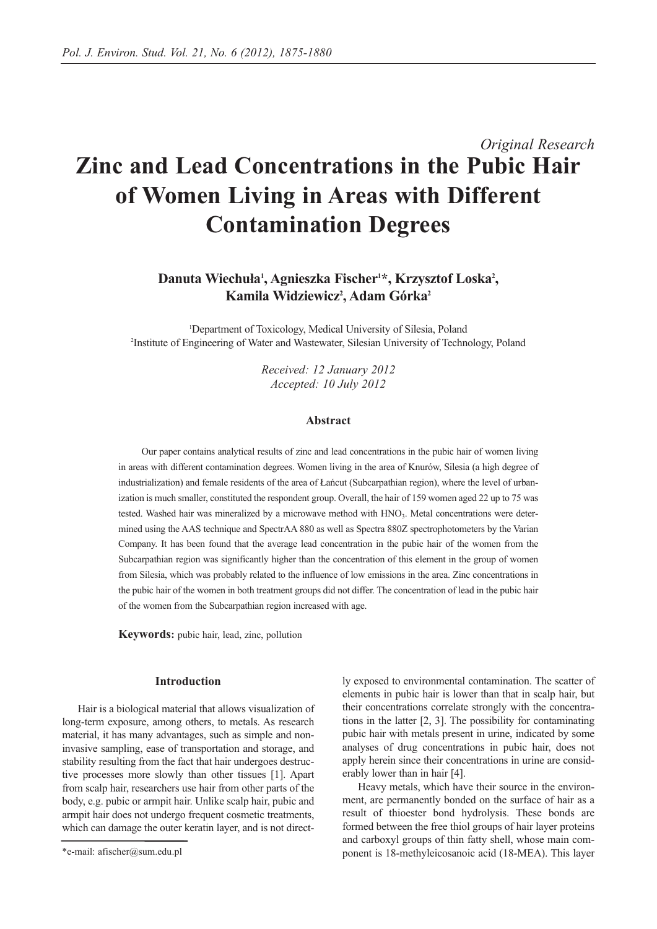# *Original Research* **Zinc and Lead Concentrations in the Pubic Hair of Women Living in Areas with Different Contamination Degrees**

# Danuta Wiechuła<sup>1</sup>, Agnieszka Fischer<sup>1\*</sup>, Krzysztof Loska<sup>2</sup>, **Kamila Widziewicz2 , Adam Górka2**

1 Department of Toxicology, Medical University of Silesia, Poland 2 Institute of Engineering of Water and Wastewater, Silesian University of Technology, Poland

> *Received: 12 January 2012 Accepted: 10 July 2012*

#### **Abstract**

Our paper contains analytical results of zinc and lead concentrations in the pubic hair of women living in areas with different contamination degrees. Women living in the area of Knurów, Silesia (a high degree of industrialization) and female residents of the area of Łańcut (Subcarpathian region), where the level of urbanization is much smaller, constituted the respondent group. Overall, the hair of 159 women aged 22 up to 75 was tested. Washed hair was mineralized by a microwave method with HNO3. Metal concentrations were determined using the AAS technique and SpectrAA 880 as well as Spectra 880Z spectrophotometers by the Varian Company. It has been found that the average lead concentration in the pubic hair of the women from the Subcarpathian region was significantly higher than the concentration of this element in the group of women from Silesia, which was probably related to the influence of low emissions in the area. Zinc concentrations in the pubic hair of the women in both treatment groups did not differ. The concentration of lead in the pubic hair of the women from the Subcarpathian region increased with age.

**Keywords:** pubic hair, lead, zinc, pollution

#### **Introduction**

Hair is a biological material that allows visualization of long-term exposure, among others, to metals. As research material, it has many advantages, such as simple and noninvasive sampling, ease of transportation and storage, and stability resulting from the fact that hair undergoes destructive processes more slowly than other tissues [1]. Apart from scalp hair, researchers use hair from other parts of the body, e.g. pubic or armpit hair. Unlike scalp hair, pubic and armpit hair does not undergo frequent cosmetic treatments, which can damage the outer keratin layer, and is not directly exposed to environmental contamination. The scatter of elements in pubic hair is lower than that in scalp hair, but their concentrations correlate strongly with the concentrations in the latter [2, 3]. The possibility for contaminating pubic hair with metals present in urine, indicated by some analyses of drug concentrations in pubic hair, does not apply herein since their concentrations in urine are considerably lower than in hair [4].

Heavy metals, which have their source in the environment, are permanently bonded on the surface of hair as a result of thioester bond hydrolysis. These bonds are formed between the free thiol groups of hair layer proteins and carboxyl groups of thin fatty shell, whose main component is 18-methyleicosanoic acid (18-MEA). This layer

<sup>\*</sup>e-mail: afischer@sum.edu.pl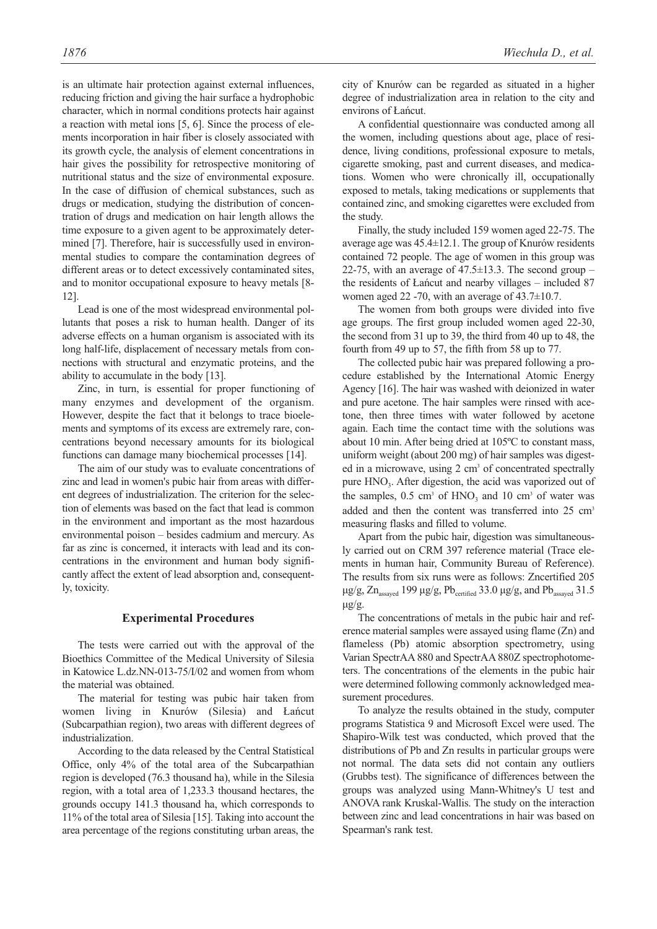is an ultimate hair protection against external influences, reducing friction and giving the hair surface a hydrophobic character, which in normal conditions protects hair against a reaction with metal ions [5, 6]. Since the process of elements incorporation in hair fiber is closely associated with its growth cycle, the analysis of element concentrations in hair gives the possibility for retrospective monitoring of nutritional status and the size of environmental exposure. In the case of diffusion of chemical substances, such as drugs or medication, studying the distribution of concentration of drugs and medication on hair length allows the time exposure to a given agent to be approximately determined [7]. Therefore, hair is successfully used in environmental studies to compare the contamination degrees of different areas or to detect excessively contaminated sites, and to monitor occupational exposure to heavy metals [8- 12].

Lead is one of the most widespread environmental pollutants that poses a risk to human health. Danger of its adverse effects on a human organism is associated with its long half-life, displacement of necessary metals from connections with structural and enzymatic proteins, and the ability to accumulate in the body [13].

Zinc, in turn, is essential for proper functioning of many enzymes and development of the organism. However, despite the fact that it belongs to trace bioelements and symptoms of its excess are extremely rare, concentrations beyond necessary amounts for its biological functions can damage many biochemical processes [14].

The aim of our study was to evaluate concentrations of zinc and lead in women's pubic hair from areas with different degrees of industrialization. The criterion for the selection of elements was based on the fact that lead is common in the environment and important as the most hazardous environmental poison – besides cadmium and mercury. As far as zinc is concerned, it interacts with lead and its concentrations in the environment and human body significantly affect the extent of lead absorption and, consequently, toxicity.

#### **Experimental Procedures**

The tests were carried out with the approval of the Bioethics Committee of the Medical University of Silesia in Katowice L.dz.NN-013-75/I/02 and women from whom the material was obtained.

The material for testing was pubic hair taken from women living in Knurów (Silesia) and Łańcut (Subcarpathian region), two areas with different degrees of industrialization.

According to the data released by the Central Statistical Office, only 4% of the total area of the Subcarpathian region is developed (76.3 thousand ha), while in the Silesia region, with a total area of 1,233.3 thousand hectares, the grounds occupy 141.3 thousand ha, which corresponds to 11% of the total area of Silesia [15]. Taking into account the area percentage of the regions constituting urban areas, the city of Knurów can be regarded as situated in a higher degree of industrialization area in relation to the city and environs of Łańcut.

A confidential questionnaire was conducted among all the women, including questions about age, place of residence, living conditions, professional exposure to metals, cigarette smoking, past and current diseases, and medications. Women who were chronically ill, occupationally exposed to metals, taking medications or supplements that contained zinc, and smoking cigarettes were excluded from the study.

Finally, the study included 159 women aged 22-75. The average age was 45.4±12.1. The group of Knurów residents contained 72 people. The age of women in this group was 22-75, with an average of  $47.5 \pm 13.3$ . The second group – the residents of Łańcut and nearby villages – included 87 women aged 22 -70, with an average of 43.7±10.7.

The women from both groups were divided into five age groups. The first group included women aged 22-30, the second from 31 up to 39, the third from 40 up to 48, the fourth from 49 up to 57, the fifth from 58 up to 77.

The collected pubic hair was prepared following a procedure established by the International Atomic Energy Agency [16]. The hair was washed with deionized in water and pure acetone. The hair samples were rinsed with acetone, then three times with water followed by acetone again. Each time the contact time with the solutions was about 10 min. After being dried at 105ºC to constant mass, uniform weight (about 200 mg) of hair samples was digested in a microwave, using 2 cm<sup>3</sup> of concentrated spectrally pure  $HNO<sub>3</sub>$ . After digestion, the acid was vaporized out of the samples,  $0.5 \text{ cm}^3$  of  $HNO_3$  and  $10 \text{ cm}^3$  of water was added and then the content was transferred into 25 cm<sup>3</sup> measuring flasks and filled to volume.

Apart from the pubic hair, digestion was simultaneously carried out on CRM 397 reference material (Trace elements in human hair, Community Bureau of Reference). The results from six runs were as follows: Zncertified 205 μg/g, Zn<sub>assayed</sub> 199 μg/g, Pb<sub>certified</sub> 33.0 μg/g, and Pb<sub>assayed</sub> 31.5 μg/g.

The concentrations of metals in the pubic hair and reference material samples were assayed using flame (Zn) and flameless (Pb) atomic absorption spectrometry, using Varian SpectrAA 880 and SpectrAA 880Z spectrophotometers. The concentrations of the elements in the pubic hair were determined following commonly acknowledged measurement procedures.

To analyze the results obtained in the study, computer programs Statistica 9 and Microsoft Excel were used. The Shapiro-Wilk test was conducted, which proved that the distributions of Pb and Zn results in particular groups were not normal. The data sets did not contain any outliers (Grubbs test). The significance of differences between the groups was analyzed using Mann-Whitney's U test and ANOVA rank Kruskal-Wallis. The study on the interaction between zinc and lead concentrations in hair was based on Spearman's rank test.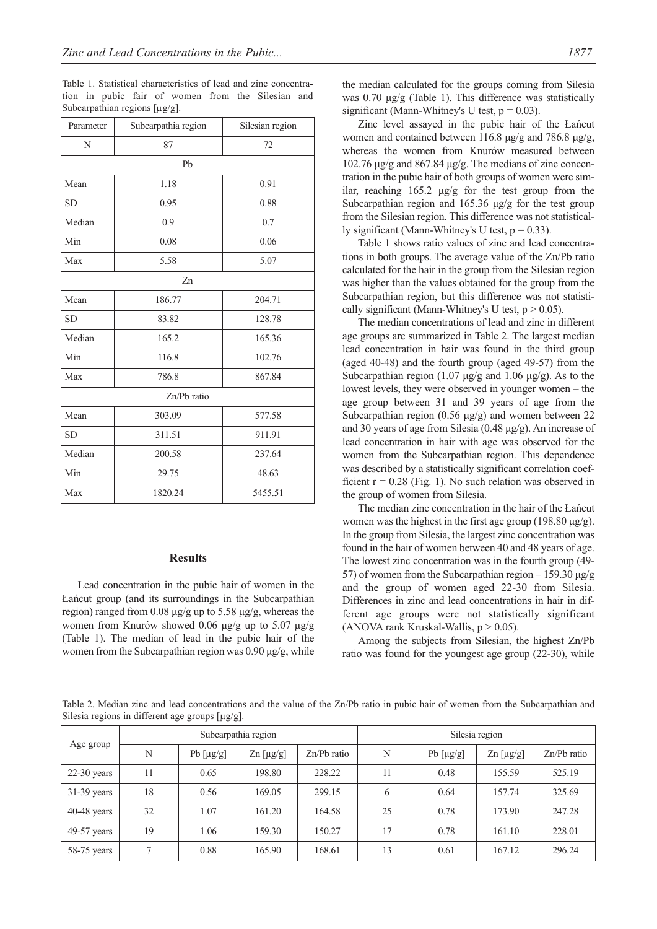Table 1. Statistical characteristics of lead and zinc concentration in pubic fair of women from the Silesian and Subcarpathian regions [μg/g].

| Parameter   | Subcarpathia region | Silesian region |  |  |  |  |  |  |
|-------------|---------------------|-----------------|--|--|--|--|--|--|
| N           | 87                  | 72              |  |  |  |  |  |  |
| Pb          |                     |                 |  |  |  |  |  |  |
| Mean        | 1.18                | 0.91            |  |  |  |  |  |  |
| <b>SD</b>   | 0.95                | 0.88            |  |  |  |  |  |  |
| Median      | 0.9                 | 0.7             |  |  |  |  |  |  |
| Min         | 0.08                | 0.06            |  |  |  |  |  |  |
| Max         | 5.58                | 5.07            |  |  |  |  |  |  |
| Zn          |                     |                 |  |  |  |  |  |  |
| Mean        | 186.77              | 204.71          |  |  |  |  |  |  |
| <b>SD</b>   | 83.82               | 128.78          |  |  |  |  |  |  |
| Median      | 165.2               | 165.36          |  |  |  |  |  |  |
| Min         | 116.8               | 102.76          |  |  |  |  |  |  |
| Max         | 786.8               | 867.84          |  |  |  |  |  |  |
| Zn/Pb ratio |                     |                 |  |  |  |  |  |  |
| Mean        | 303.09              | 577.58          |  |  |  |  |  |  |
| SD          | 311.51              | 911.91          |  |  |  |  |  |  |
| Median      | 200.58              | 237.64          |  |  |  |  |  |  |
| Min         | 29.75               | 48.63           |  |  |  |  |  |  |
| Max         | 1820.24             | 5455.51         |  |  |  |  |  |  |

#### **Results**

Lead concentration in the pubic hair of women in the Łańcut group (and its surroundings in the Subcarpathian region) ranged from 0.08 μg/g up to 5.58 μg/g, whereas the women from Knurów showed 0.06 μg/g up to 5.07 μg/g (Table 1). The median of lead in the pubic hair of the women from the Subcarpathian region was 0.90 μg/g, while the median calculated for the groups coming from Silesia was 0.70 μg/g (Table 1). This difference was statistically significant (Mann-Whitney's U test,  $p = 0.03$ ).

Zinc level assayed in the pubic hair of the Łańcut women and contained between 116.8 μg/g and 786.8 μg/g, whereas the women from Knurów measured between 102.76 μg/g and 867.84 μg/g. The medians of zinc concentration in the pubic hair of both groups of women were similar, reaching  $165.2 \mu g/g$  for the test group from the Subcarpathian region and 165.36 μg/g for the test group from the Silesian region. This difference was not statistically significant (Mann-Whitney's U test,  $p = 0.33$ ).

Table 1 shows ratio values of zinc and lead concentrations in both groups. The average value of the Zn/Pb ratio calculated for the hair in the group from the Silesian region was higher than the values obtained for the group from the Subcarpathian region, but this difference was not statistically significant (Mann-Whitney's U test,  $p > 0.05$ ).

The median concentrations of lead and zinc in different age groups are summarized in Table 2. The largest median lead concentration in hair was found in the third group (aged 40-48) and the fourth group (aged 49-57) from the Subcarpathian region (1.07  $\mu$ g/g and 1.06  $\mu$ g/g). As to the lowest levels, they were observed in younger women – the age group between 31 and 39 years of age from the Subcarpathian region (0.56 μg/g) and women between 22 and 30 years of age from Silesia (0.48 μg/g). An increase of lead concentration in hair with age was observed for the women from the Subcarpathian region. This dependence was described by a statistically significant correlation coefficient  $r = 0.28$  (Fig. 1). No such relation was observed in the group of women from Silesia.

The median zinc concentration in the hair of the Łańcut women was the highest in the first age group (198.80 μg/g). In the group from Silesia, the largest zinc concentration was found in the hair of women between 40 and 48 years of age. The lowest zinc concentration was in the fourth group (49- 57) of women from the Subcarpathian region – 159.30 μg/g and the group of women aged 22-30 from Silesia. Differences in zinc and lead concentrations in hair in different age groups were not statistically significant (ANOVA rank Kruskal-Wallis,  $p > 0.05$ ).

Among the subjects from Silesian, the highest Zn/Pb ratio was found for the youngest age group (22-30), while

Table 2. Median zinc and lead concentrations and the value of the Zn/Pb ratio in pubic hair of women from the Subcarpathian and Silesia regions in different age groups [µg/g].

| Age group     | Subcarpathia region |                |                    | Silesia region |    |                |                    |               |
|---------------|---------------------|----------------|--------------------|----------------|----|----------------|--------------------|---------------|
|               | N                   | Pb $[\mu g/g]$ | $\text{Zn}$ [µg/g] | $Zn/Pb$ ratio  | N  | Pb $[\mu g/g]$ | $\text{Zn}$ [µg/g] | $Zn/Pb$ ratio |
| $22-30$ years | 11                  | 0.65           | 198.80             | 228.22         | 11 | 0.48           | 155.59             | 525.19        |
| $31-39$ years | 18                  | 0.56           | 169.05             | 299.15         | 6  | 0.64           | 157.74             | 325.69        |
| $40-48$ years | 32                  | 1.07           | 161.20             | 164.58         | 25 | 0.78           | 173.90             | 247.28        |
| 49-57 years   | 19                  | 1.06           | 159.30             | 150.27         | 17 | 0.78           | 161.10             | 228.01        |
| $58-75$ years | 7                   | 0.88           | 165.90             | 168.61         | 13 | 0.61           | 167.12             | 296.24        |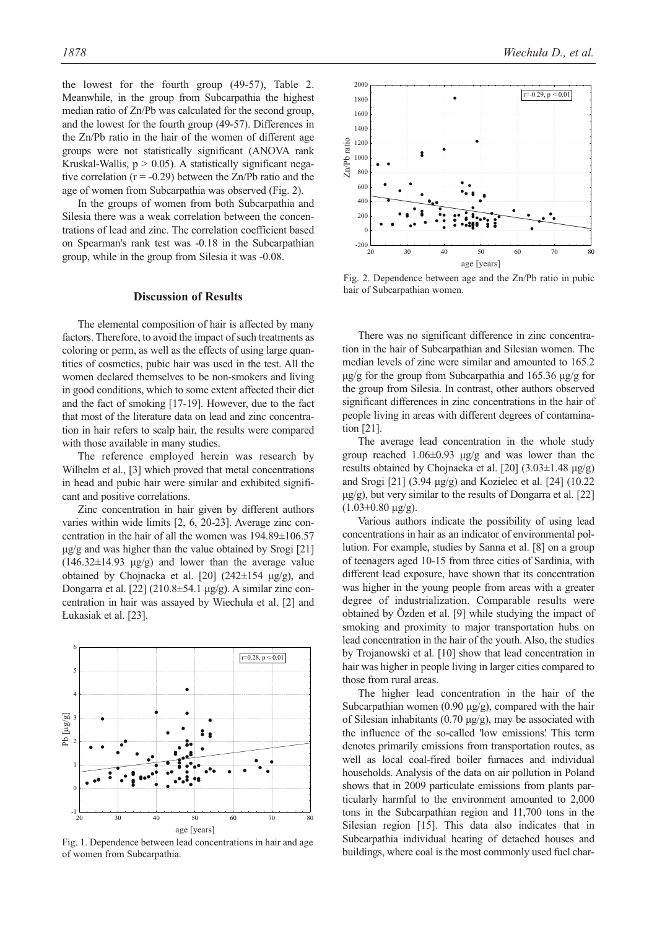the lowest for the fourth group (49-57), Table 2. Meanwhile, in the group from Subcarpathia the highest median ratio of Zn/Pb was calculated for the second group, and the lowest for the fourth group (49-57). Differences in the Zn/Pb ratio in the hair of the women of different age groups were not statistically significant (ANOVA rank Kruskal-Wallis,  $p > 0.05$ ). A statistically significant negative correlation  $(r = -0.29)$  between the Zn/Pb ratio and the age of women from Subcarpathia was observed (Fig. 2).

In the groups of women from both Subcarpathia and Silesia there was a weak correlation between the concentrations of lead and zinc. The correlation coefficient based on Spearman's rank test was -0.18 in the Subcarpathian group, while in the group from Silesia it was -0.08.

### **Discussion of Results**

The elemental composition of hair is affected by many factors. Therefore, to avoid the impact of such treatments as coloring or perm, as well as the effects of using large quantities of cosmetics, pubic hair was used in the test. All the women declared themselves to be non-smokers and living in good conditions, which to some extent affected their diet and the fact of smoking [17-19]. However, due to the fact that most of the literature data on lead and zinc concentration in hair refers to scalp hair, the results were compared with those available in many studies.

The reference employed herein was research by Wilhelm et al., [3] which proved that metal concentrations in head and pubic hair were similar and exhibited significant and positive correlations.

Zinc concentration in hair given by different authors varies within wide limits [2, 6, 20-23]. Average zinc concentration in the hair of all the women was 194.89±106.57 μg/g and was higher than the value obtained by Srogi [21] (146.32±14.93 μg/g) and lower than the average value obtained by Chojnacka et al. [20] (242 $\pm$ 154 μg/g), and Dongarra et al. [22] (210.8 $\pm$ 54.1 μg/g). A similar zinc concentration in hair was assayed by Wiechuła et al. [2] and Łukasiak et al. [23].



Fig. 1. Dependence between lead concentrations in hair and age of women from Subcarpathia.



Fig. 2. Dependence between age and the Zn/Pb ratio in pubic hair of Subcarpathian women.

There was no significant difference in zinc concentration in the hair of Subcarpathian and Silesian women. The median levels of zinc were similar and amounted to 165.2 μg/g for the group from Subcarpathia and 165.36 μg/g for the group from Silesia. In contrast, other authors observed significant differences in zinc concentrations in the hair of people living in areas with different degrees of contamination [21].

The average lead concentration in the whole study group reached  $1.06\pm0.93$  μg/g and was lower than the results obtained by Chojnacka et al. [20] (3.03±1.48 μg/g) and Srogi [21] (3.94 μg/g) and Kozielec et al. [24] (10.22  $\mu$ g/g), but very similar to the results of Dongarra et al. [22]  $(1.03\pm0.80 \text{ kg/g})$ .

Various authors indicate the possibility of using lead concentrations in hair as an indicator of environmental pollution. For example, studies by Sanna et al. [8] on a group of teenagers aged 10-15 from three cities of Sardinia, with different lead exposure, have shown that its concentration was higher in the young people from areas with a greater degree of industrialization. Comparable results were obtained by Özden et al. [9] while studying the impact of smoking and proximity to major transportation hubs on lead concentration in the hair of the youth. Also, the studies by Trojanowski et al. [10] show that lead concentration in hair was higher in people living in larger cities compared to those from rural areas.

The higher lead concentration in the hair of the Subcarpathian women  $(0.90 \mu g/g)$ , compared with the hair of Silesian inhabitants (0.70  $\mu$ g/g), may be associated with the influence of the so-called 'low emissions.' This term denotes primarily emissions from transportation routes, as well as local coal-fired boiler furnaces and individual households. Analysis of the data on air pollution in Poland shows that in 2009 particulate emissions from plants particularly harmful to the environment amounted to 2,000 tons in the Subcarpathian region and 11,700 tons in the Silesian region [15]. This data also indicates that in Subcarpathia individual heating of detached houses and buildings, where coal is the most commonly used fuel char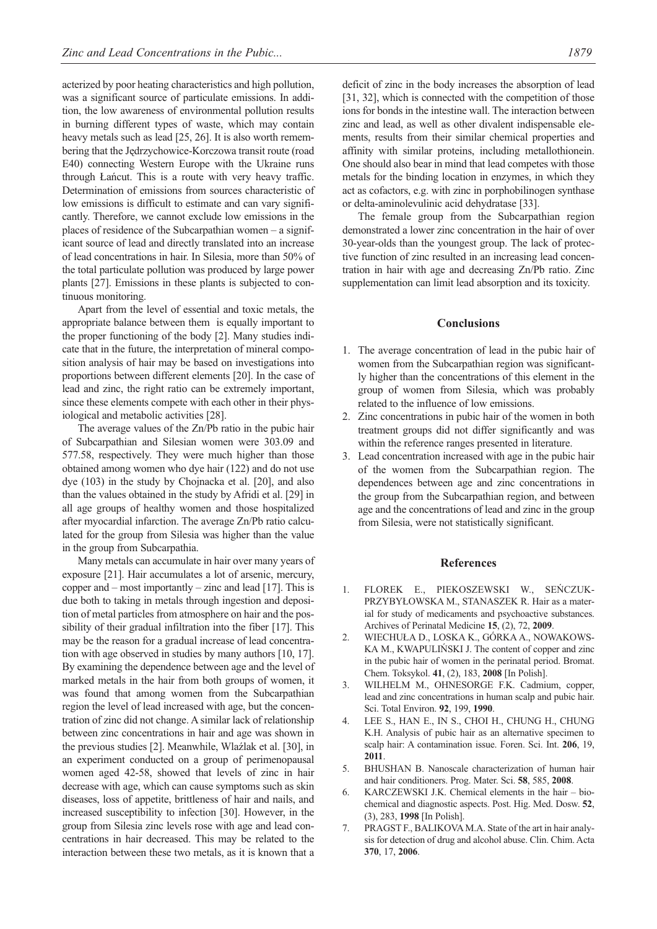acterized by poor heating characteristics and high pollution, was a significant source of particulate emissions. In addition, the low awareness of environmental pollution results in burning different types of waste, which may contain heavy metals such as lead [25, 26]. It is also worth remembering that the Jędrzychowice-Korczowa transit route (road E40) connecting Western Europe with the Ukraine runs through Łańcut. This is a route with very heavy traffic. Determination of emissions from sources characteristic of low emissions is difficult to estimate and can vary significantly. Therefore, we cannot exclude low emissions in the places of residence of the Subcarpathian women – a significant source of lead and directly translated into an increase of lead concentrations in hair. In Silesia, more than 50% of the total particulate pollution was produced by large power plants [27]. Emissions in these plants is subjected to continuous monitoring.

Apart from the level of essential and toxic metals, the appropriate balance between them is equally important to the proper functioning of the body [2]. Many studies indicate that in the future, the interpretation of mineral composition analysis of hair may be based on investigations into proportions between different elements [20]. In the case of lead and zinc, the right ratio can be extremely important, since these elements compete with each other in their physiological and metabolic activities [28].

The average values of the Zn/Pb ratio in the pubic hair of Subcarpathian and Silesian women were 303.09 and 577.58, respectively. They were much higher than those obtained among women who dye hair (122) and do not use dye (103) in the study by Chojnacka et al. [20], and also than the values obtained in the study by Afridi et al. [29] in all age groups of healthy women and those hospitalized after myocardial infarction. The average Zn/Pb ratio calculated for the group from Silesia was higher than the value in the group from Subcarpathia.

Many metals can accumulate in hair over many years of exposure [21]. Hair accumulates a lot of arsenic, mercury, copper and – most importantly – zinc and lead [17]. This is due both to taking in metals through ingestion and deposition of metal particles from atmosphere on hair and the possibility of their gradual infiltration into the fiber [17]. This may be the reason for a gradual increase of lead concentration with age observed in studies by many authors [10, 17]. By examining the dependence between age and the level of marked metals in the hair from both groups of women, it was found that among women from the Subcarpathian region the level of lead increased with age, but the concentration of zinc did not change. A similar lack of relationship between zinc concentrations in hair and age was shown in the previous studies [2]. Meanwhile, Wlaźlak et al. [30], in an experiment conducted on a group of perimenopausal women aged 42-58, showed that levels of zinc in hair decrease with age, which can cause symptoms such as skin diseases, loss of appetite, brittleness of hair and nails, and increased susceptibility to infection [30]. However, in the group from Silesia zinc levels rose with age and lead concentrations in hair decreased. This may be related to the interaction between these two metals, as it is known that a

deficit of zinc in the body increases the absorption of lead [31, 32], which is connected with the competition of those ions for bonds in the intestine wall. The interaction between zinc and lead, as well as other divalent indispensable elements, results from their similar chemical properties and affinity with similar proteins, including metallothionein. One should also bear in mind that lead competes with those metals for the binding location in enzymes, in which they act as cofactors, e.g. with zinc in porphobilinogen synthase or delta-aminolevulinic acid dehydratase [33].

The female group from the Subcarpathian region demonstrated a lower zinc concentration in the hair of over 30-year-olds than the youngest group. The lack of protective function of zinc resulted in an increasing lead concentration in hair with age and decreasing Zn/Pb ratio. Zinc supplementation can limit lead absorption and its toxicity.

## **Conclusions**

- 1. The average concentration of lead in the pubic hair of women from the Subcarpathian region was significantly higher than the concentrations of this element in the group of women from Silesia, which was probably related to the influence of low emissions.
- 2. Zinc concentrations in pubic hair of the women in both treatment groups did not differ significantly and was within the reference ranges presented in literature.
- 3. Lead concentration increased with age in the pubic hair of the women from the Subcarpathian region. The dependences between age and zinc concentrations in the group from the Subcarpathian region, and between age and the concentrations of lead and zinc in the group from Silesia, were not statistically significant.

#### **References**

- 1. FLOREK E., PIEKOSZEWSKI W., SEŃCZUK-PRZYBYŁOWSKA M., STANASZEK R. Hair as a material for study of medicaments and psychoactive substances. Archives of Perinatal Medicine **15**, (2), 72, **2009**.
- 2. WIECHUŁA D., LOSKA K., GÓRKA A., NOWAKOWS-KA M., KWAPULIŃSKI J. The content of copper and zinc in the pubic hair of women in the perinatal period. Bromat. Chem. Toksykol. **41**, (2), 183, **2008** [In Polish].
- 3. WILHELM M., OHNESORGE F.K. Cadmium, copper, lead and zinc concentrations in human scalp and pubic hair. Sci. Total Environ. **92**, 199, **1990**.
- 4. LEE S., HAN E., IN S., CHOI H., CHUNG H., CHUNG K.H. Analysis of pubic hair as an alternative specimen to scalp hair: A contamination issue. Foren. Sci. Int. **206**, 19, **2011**.
- 5. BHUSHAN B. Nanoscale characterization of human hair and hair conditioners. Prog. Mater. Sci. **58**, 585, **2008**.
- 6. KARCZEWSKI J.K. Chemical elements in the hair biochemical and diagnostic aspects. Post. Hig. Med. Dosw. **52**, (3), 283, **1998** [In Polish].
- 7. PRAGST F., BALIKOVA M.A. State of the art in hair analysis for detection of drug and alcohol abuse. Clin. Chim. Acta **370**, 17, **2006**.